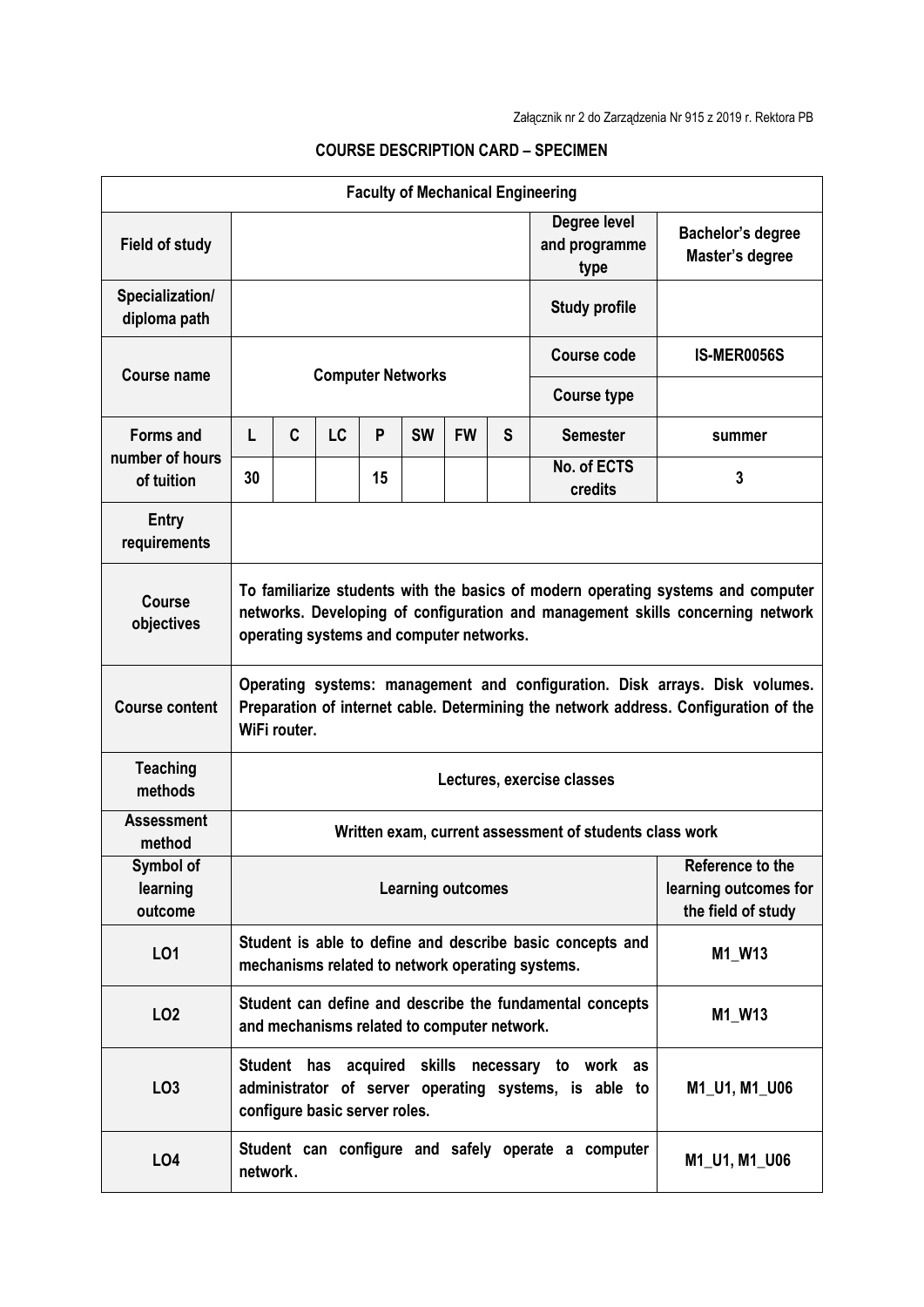| <b>Faculty of Mechanical Engineering</b>          |                                                                                                                                                                                                                |   |           |    |           |           |                                       |                                                                                                                         |               |  |  |  |
|---------------------------------------------------|----------------------------------------------------------------------------------------------------------------------------------------------------------------------------------------------------------------|---|-----------|----|-----------|-----------|---------------------------------------|-------------------------------------------------------------------------------------------------------------------------|---------------|--|--|--|
| <b>Field of study</b>                             |                                                                                                                                                                                                                |   |           |    |           |           | Degree level<br>and programme<br>type | Bachelor's degree<br>Master's degree                                                                                    |               |  |  |  |
| Specialization/<br>diploma path                   |                                                                                                                                                                                                                |   |           |    |           |           | <b>Study profile</b>                  |                                                                                                                         |               |  |  |  |
| Course name                                       | <b>Computer Networks</b>                                                                                                                                                                                       |   |           |    |           |           |                                       | <b>Course code</b>                                                                                                      | IS-MER0056S   |  |  |  |
|                                                   |                                                                                                                                                                                                                |   |           |    |           |           |                                       | <b>Course type</b>                                                                                                      |               |  |  |  |
| <b>Forms and</b><br>number of hours<br>of tuition | L                                                                                                                                                                                                              | C | <b>LC</b> | P  | <b>SW</b> | <b>FW</b> | S                                     | <b>Semester</b>                                                                                                         | summer        |  |  |  |
|                                                   | 30                                                                                                                                                                                                             |   |           | 15 |           |           |                                       | No. of ECTS<br>credits                                                                                                  | 3             |  |  |  |
| Entry<br>requirements                             |                                                                                                                                                                                                                |   |           |    |           |           |                                       |                                                                                                                         |               |  |  |  |
| <b>Course</b><br>objectives                       | To familiarize students with the basics of modern operating systems and computer<br>networks. Developing of configuration and management skills concerning network<br>operating systems and computer networks. |   |           |    |           |           |                                       |                                                                                                                         |               |  |  |  |
| <b>Course content</b>                             | Operating systems: management and configuration. Disk arrays. Disk volumes.<br>Preparation of internet cable. Determining the network address. Configuration of the<br>WiFi router.                            |   |           |    |           |           |                                       |                                                                                                                         |               |  |  |  |
| <b>Teaching</b><br>methods                        | Lectures, exercise classes                                                                                                                                                                                     |   |           |    |           |           |                                       |                                                                                                                         |               |  |  |  |
| <b>Assessment</b><br>method                       | Written exam, current assessment of students class work                                                                                                                                                        |   |           |    |           |           |                                       |                                                                                                                         |               |  |  |  |
| Symbol of<br>learning<br>outcome                  | Reference to the<br><b>Learning outcomes</b><br>learning outcomes for<br>the field of study                                                                                                                    |   |           |    |           |           |                                       |                                                                                                                         |               |  |  |  |
| L01                                               |                                                                                                                                                                                                                |   |           |    |           |           |                                       | Student is able to define and describe basic concepts and<br>M1_W13<br>mechanisms related to network operating systems. |               |  |  |  |
| LO <sub>2</sub>                                   | Student can define and describe the fundamental concepts<br>M1_W13<br>and mechanisms related to computer network.                                                                                              |   |           |    |           |           |                                       |                                                                                                                         |               |  |  |  |
| LO <sub>3</sub>                                   | Student has acquired skills necessary to work as<br>administrator of server operating systems, is able to<br>M1_U1, M1_U06<br>configure basic server roles.                                                    |   |           |    |           |           |                                       |                                                                                                                         |               |  |  |  |
| LO <sub>4</sub>                                   | network.                                                                                                                                                                                                       |   |           |    |           |           |                                       | Student can configure and safely operate a computer                                                                     | M1_U1, M1_U06 |  |  |  |

## **COURSE DESCRIPTION CARD – SPECIMEN**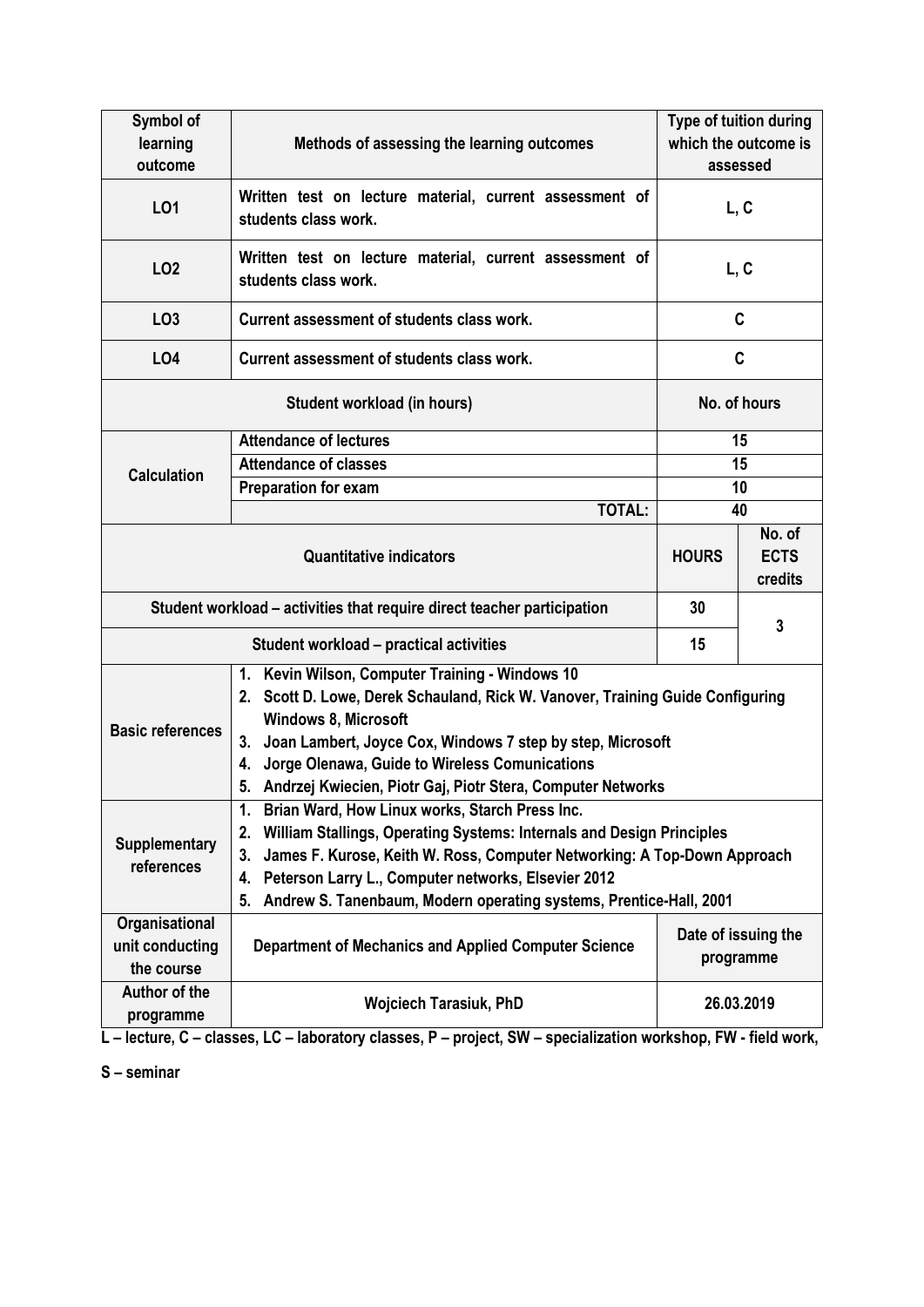| Symbol of                                                               |                                                                                                                                                                                                                                                                                                                                                                | Type of tuition during<br>which the outcome is |  |  |  |  |  |
|-------------------------------------------------------------------------|----------------------------------------------------------------------------------------------------------------------------------------------------------------------------------------------------------------------------------------------------------------------------------------------------------------------------------------------------------------|------------------------------------------------|--|--|--|--|--|
| learning<br>outcome                                                     | Methods of assessing the learning outcomes                                                                                                                                                                                                                                                                                                                     | assessed                                       |  |  |  |  |  |
| L01                                                                     | Written test on lecture material, current assessment of<br>students class work.                                                                                                                                                                                                                                                                                | L, C                                           |  |  |  |  |  |
| LO <sub>2</sub>                                                         | Written test on lecture material, current assessment of<br>students class work.                                                                                                                                                                                                                                                                                | L, C                                           |  |  |  |  |  |
| LO <sub>3</sub>                                                         | Current assessment of students class work.                                                                                                                                                                                                                                                                                                                     | C                                              |  |  |  |  |  |
| LO4                                                                     | Current assessment of students class work.                                                                                                                                                                                                                                                                                                                     | C                                              |  |  |  |  |  |
|                                                                         | No. of hours                                                                                                                                                                                                                                                                                                                                                   |                                                |  |  |  |  |  |
|                                                                         | <b>Attendance of lectures</b>                                                                                                                                                                                                                                                                                                                                  | 15                                             |  |  |  |  |  |
| <b>Calculation</b>                                                      | <b>Attendance of classes</b>                                                                                                                                                                                                                                                                                                                                   | 15                                             |  |  |  |  |  |
|                                                                         | <b>Preparation for exam</b>                                                                                                                                                                                                                                                                                                                                    | 10                                             |  |  |  |  |  |
|                                                                         | <b>TOTAL:</b>                                                                                                                                                                                                                                                                                                                                                  | 40                                             |  |  |  |  |  |
|                                                                         | <b>HOURS</b>                                                                                                                                                                                                                                                                                                                                                   | No. of<br><b>ECTS</b><br>credits               |  |  |  |  |  |
| Student workload – activities that require direct teacher participation | 30                                                                                                                                                                                                                                                                                                                                                             | 3                                              |  |  |  |  |  |
|                                                                         | 15                                                                                                                                                                                                                                                                                                                                                             |                                                |  |  |  |  |  |
| <b>Basic references</b>                                                 | 1. Kevin Wilson, Computer Training - Windows 10<br>2. Scott D. Lowe, Derek Schauland, Rick W. Vanover, Training Guide Configuring<br><b>Windows 8, Microsoft</b><br>Joan Lambert, Joyce Cox, Windows 7 step by step, Microsoft<br>3.<br>Jorge Olenawa, Guide to Wireless Comunications<br>4.<br>5. Andrzej Kwiecien, Piotr Gaj, Piotr Stera, Computer Networks |                                                |  |  |  |  |  |
| <b>Supplementary</b><br>references                                      | 1. Brian Ward, How Linux works, Starch Press Inc.<br>William Stallings, Operating Systems: Internals and Design Principles<br>2.<br>James F. Kurose, Keith W. Ross, Computer Networking: A Top-Down Approach<br>3.<br>Peterson Larry L., Computer networks, Elsevier 2012<br>4.<br>Andrew S. Tanenbaum, Modern operating systems, Prentice-Hall, 2001<br>5.    |                                                |  |  |  |  |  |
| Organisational<br>unit conducting<br>the course                         | Date of issuing the<br>Department of Mechanics and Applied Computer Science<br>programme                                                                                                                                                                                                                                                                       |                                                |  |  |  |  |  |
| Author of the<br>programme                                              | <b>Wojciech Tarasiuk, PhD</b>                                                                                                                                                                                                                                                                                                                                  | 26.03.2019                                     |  |  |  |  |  |

**L – lecture, C – classes, LC – laboratory classes, P – project, SW – specialization workshop, FW - field work,**

**S – seminar**